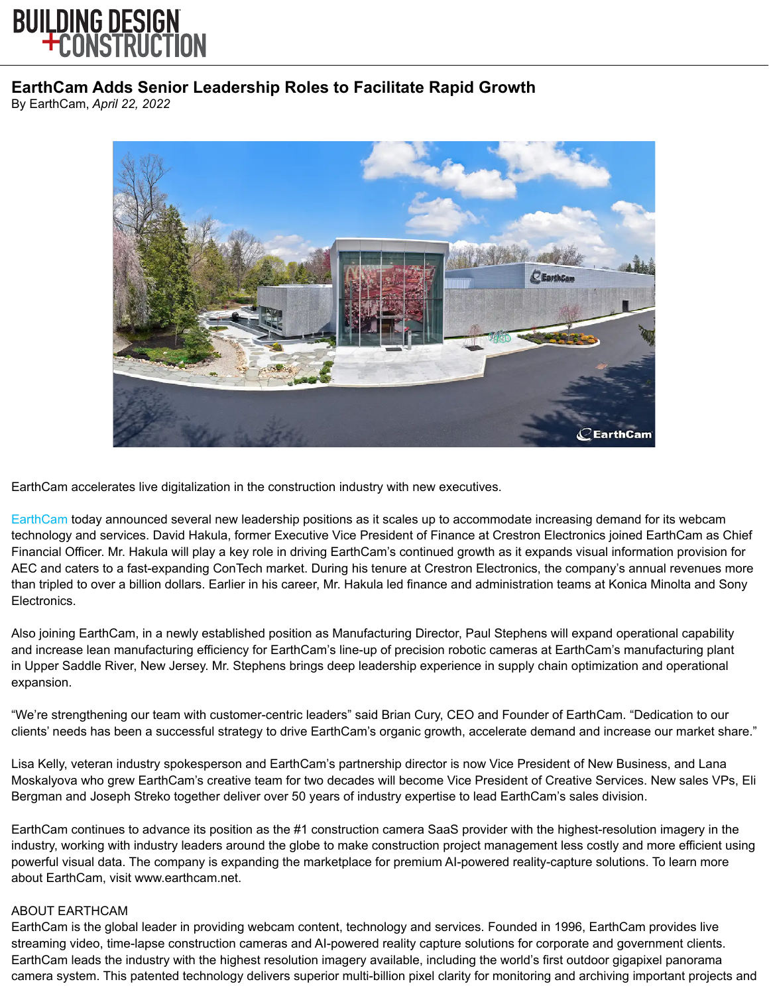

## **EarthCam Adds Senior Leadership Roles to Facilitate Rapid Growth**

By EarthCam, *April 22, 2022*



EarthCam accelerates live digitalization in the construction industry with new executives.

[EarthCam](https://www.earthcam.com/) today announced several new leadership positions as it scales up to accommodate increasing demand for its webcam technology and services. David Hakula, former Executive Vice President of Finance at Crestron Electronics joined EarthCam as Chief Financial Officer. Mr. Hakula will play a key role in driving EarthCam's continued growth as it expands visual information provision for AEC and caters to a fast-expanding ConTech market. During his tenure at Crestron Electronics, the company's annual revenues more than tripled to over a billion dollars. Earlier in his career, Mr. Hakula led finance and administration teams at Konica Minolta and Sony Electronics.

Also joining EarthCam, in a newly established position as Manufacturing Director, Paul Stephens will expand operational capability and increase lean manufacturing efficiency for EarthCam's line-up of precision robotic cameras at EarthCam's manufacturing plant in Upper Saddle River, New Jersey. Mr. Stephens brings deep leadership experience in supply chain optimization and operational expansion.

"We're strengthening our team with customer-centric leaders" said Brian Cury, CEO and Founder of EarthCam. "Dedication to our clients' needs has been a successful strategy to drive EarthCam's organic growth, accelerate demand and increase our market share."

Lisa Kelly, veteran industry spokesperson and EarthCam's partnership director is now Vice President of New Business, and Lana Moskalyova who grew EarthCam's creative team for two decades will become Vice President of Creative Services. New sales VPs, Eli Bergman and Joseph Streko together deliver over 50 years of industry expertise to lead EarthCam's sales division.

EarthCam continues to advance its position as the #1 construction camera SaaS provider with the highest-resolution imagery in the industry, working with industry leaders around the globe to make construction project management less costly and more efficient using powerful visual data. The company is expanding the marketplace for premium AI-powered reality-capture solutions. To learn more about EarthCam, visit www.earthcam.net.

## ABOUT EARTHCAM

EarthCam is the global leader in providing webcam content, technology and services. Founded in 1996, EarthCam provides live streaming video, time-lapse construction cameras and AI-powered reality capture solutions for corporate and government clients. EarthCam leads the industry with the highest resolution imagery available, including the world's first outdoor gigapixel panorama camera system. This patented technology delivers superior multi-billion pixel clarity for monitoring and archiving important projects and